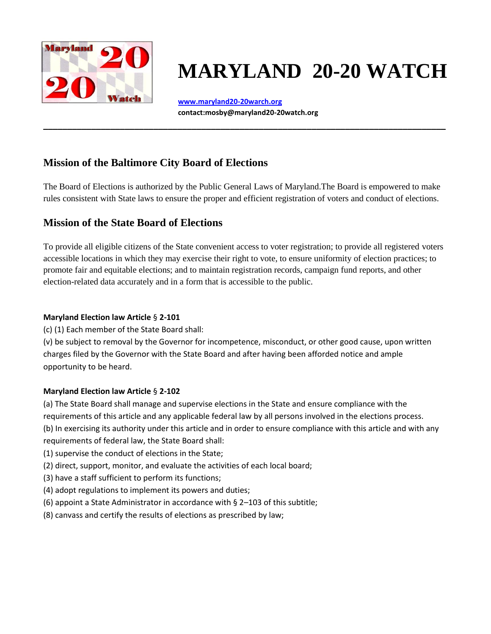

# **MARYLAND 20-20 WATCH**

**[www.maryland20-20warch.org](http://www.maryland20-20warch.org/)  contact:mosby@maryland20-20watch.org**

**\_\_\_\_\_\_\_\_\_\_\_\_\_\_\_\_\_\_\_\_\_\_\_\_\_\_\_\_\_\_\_\_\_\_\_\_\_\_\_\_\_\_\_\_\_\_\_\_\_\_\_\_\_\_\_\_\_\_\_\_\_\_\_\_\_\_\_\_\_\_\_\_\_\_\_\_\_\_\_\_\_\_\_\_**

# **Mission of the Baltimore City Board of Elections**

The Board of Elections is authorized by the Public General Laws of Maryland.The Board is empowered to make rules consistent with State laws to ensure the proper and efficient registration of voters and conduct of elections.

# **Mission of the State Board of Elections**

To provide all eligible citizens of the State convenient access to voter registration; to provide all registered voters accessible locations in which they may exercise their right to vote, to ensure uniformity of election practices; to promote fair and equitable elections; and to maintain registration records, campaign fund reports, and other election-related data accurately and in a form that is accessible to the public.

## **Maryland Election law Article** § **2-101**

(c) (1) Each member of the State Board shall:

(v) be subject to removal by the Governor for incompetence, misconduct, or other good cause, upon written charges filed by the Governor with the State Board and after having been afforded notice and ample opportunity to be heard.

## **Maryland Election law Article** § **2-102**

(a) The State Board shall manage and supervise elections in the State and ensure compliance with the requirements of this article and any applicable federal law by all persons involved in the elections process. (b) In exercising its authority under this article and in order to ensure compliance with this article and with any requirements of federal law, the State Board shall:

- (1) supervise the conduct of elections in the State;
- (2) direct, support, monitor, and evaluate the activities of each local board;
- (3) have a staff sufficient to perform its functions;
- (4) adopt regulations to implement its powers and duties;
- (6) appoint a State Administrator in accordance with § 2–103 of this subtitle;
- (8) canvass and certify the results of elections as prescribed by law;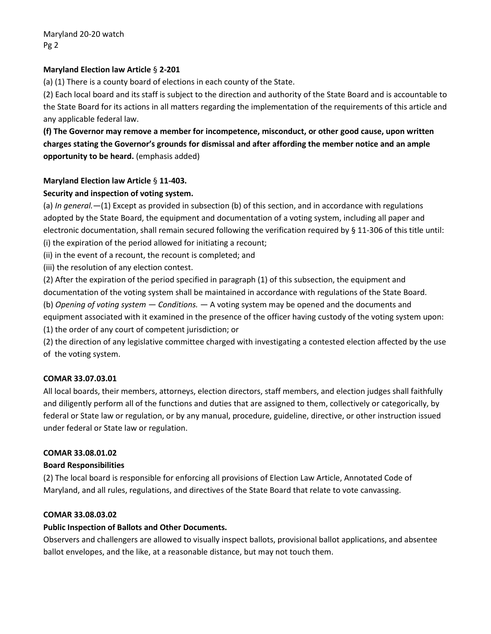#### **Maryland Election law Article** § **2-201**

(a) (1) There is a county board of elections in each county of the State.

(2) Each local board and its staff is subject to the direction and authority of the State Board and is accountable to the State Board for its actions in all matters regarding the implementation of the requirements of this article and any applicable federal law.

## **(f) The Governor may remove a member for incompetence, misconduct, or other good cause, upon written charges stating the Governor's grounds for dismissal and after affording the member notice and an ample opportunity to be heard.** (emphasis added)

#### **Maryland Election law Article** § **11-403.**

#### **Security and inspection of voting system.**

(a) *In general.*—(1) Except as provided in subsection (b) of this section, and in accordance with regulations adopted by the State Board, the equipment and documentation of a voting system, including all paper and electronic documentation, shall remain secured following the verification required by § 11-306 of this title until: (i) the expiration of the period allowed for initiating a recount;

(ii) in the event of a recount, the recount is completed; and

(iii) the resolution of any election contest.

(2) After the expiration of the period specified in paragraph (1) of this subsection, the equipment and documentation of the voting system shall be maintained in accordance with regulations of the State Board. (b) *Opening of voting system — Conditions.* — A voting system may be opened and the documents and equipment associated with it examined in the presence of the officer having custody of the voting system upon: (1) the order of any court of competent jurisdiction; or

(2) the direction of any legislative committee charged with investigating a contested election affected by the use of the voting system.

#### **COMAR 33.07.03.01**

All local boards, their members, attorneys, election directors, staff members, and election judges shall faithfully and diligently perform all of the functions and duties that are assigned to them, collectively or categorically, by federal or State law or regulation, or by any manual, procedure, guideline, directive, or other instruction issued under federal or State law or regulation.

#### **COMAR 33.08.01.02**

#### **Board Responsibilities**

(2) The local board is responsible for enforcing all provisions of Election Law Article, Annotated Code of Maryland, and all rules, regulations, and directives of the State Board that relate to vote canvassing.

#### **COMAR 33.08.03.02**

#### **Public Inspection of Ballots and Other Documents.**

Observers and challengers are allowed to visually inspect ballots, provisional ballot applications, and absentee ballot envelopes, and the like, at a reasonable distance, but may not touch them.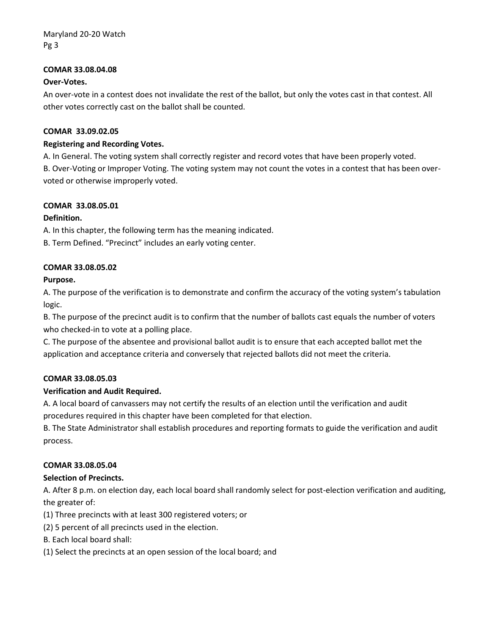#### **COMAR 33.08.04.08**

#### **Over-Votes.**

An over-vote in a contest does not invalidate the rest of the ballot, but only the votes cast in that contest. All other votes correctly cast on the ballot shall be counted.

#### **COMAR 33.09.02.05**

#### **Registering and Recording Votes.**

A. In General. The voting system shall correctly register and record votes that have been properly voted.

B. Over-Voting or Improper Voting. The voting system may not count the votes in a contest that has been overvoted or otherwise improperly voted.

#### **COMAR 33.08.05.01**

#### **Definition.**

A. In this chapter, the following term has the meaning indicated.

B. Term Defined. "Precinct" includes an early voting center.

#### **COMAR 33.08.05.02**

#### **Purpose.**

A. The purpose of the verification is to demonstrate and confirm the accuracy of the voting system's tabulation logic.

B. The purpose of the precinct audit is to confirm that the number of ballots cast equals the number of voters who checked-in to vote at a polling place.

C. The purpose of the absentee and provisional ballot audit is to ensure that each accepted ballot met the application and acceptance criteria and conversely that rejected ballots did not meet the criteria.

#### **COMAR 33.08.05.03**

#### **Verification and Audit Required.**

A. A local board of canvassers may not certify the results of an election until the verification and audit procedures required in this chapter have been completed for that election.

B. The State Administrator shall establish procedures and reporting formats to guide the verification and audit process.

#### **COMAR 33.08.05.04**

#### **Selection of Precincts.**

A. After 8 p.m. on election day, each local board shall randomly select for post-election verification and auditing, the greater of:

- (1) Three precincts with at least 300 registered voters; or
- (2) 5 percent of all precincts used in the election.
- B. Each local board shall:
- (1) Select the precincts at an open session of the local board; and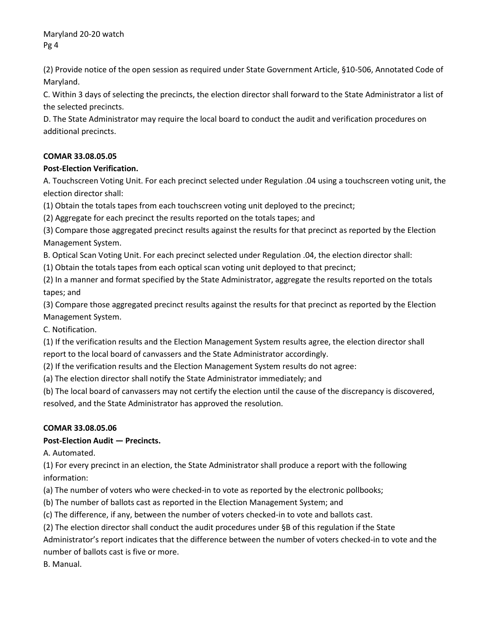(2) Provide notice of the open session as required under State Government Article, §10-506, Annotated Code of Maryland.

C. Within 3 days of selecting the precincts, the election director shall forward to the State Administrator a list of the selected precincts.

D. The State Administrator may require the local board to conduct the audit and verification procedures on additional precincts.

## **COMAR 33.08.05.05**

## **Post-Election Verification.**

A. Touchscreen Voting Unit. For each precinct selected under Regulation .04 using a touchscreen voting unit, the election director shall:

(1) Obtain the totals tapes from each touchscreen voting unit deployed to the precinct;

(2) Aggregate for each precinct the results reported on the totals tapes; and

(3) Compare those aggregated precinct results against the results for that precinct as reported by the Election Management System.

B. Optical Scan Voting Unit. For each precinct selected under Regulation .04, the election director shall:

(1) Obtain the totals tapes from each optical scan voting unit deployed to that precinct;

(2) In a manner and format specified by the State Administrator, aggregate the results reported on the totals tapes; and

(3) Compare those aggregated precinct results against the results for that precinct as reported by the Election Management System.

C. Notification.

(1) If the verification results and the Election Management System results agree, the election director shall report to the local board of canvassers and the State Administrator accordingly.

(2) If the verification results and the Election Management System results do not agree:

(a) The election director shall notify the State Administrator immediately; and

(b) The local board of canvassers may not certify the election until the cause of the discrepancy is discovered, resolved, and the State Administrator has approved the resolution.

## **COMAR 33.08.05.06**

## **Post-Election Audit — Precincts.**

A. Automated.

(1) For every precinct in an election, the State Administrator shall produce a report with the following information:

(a) The number of voters who were checked-in to vote as reported by the electronic pollbooks;

(b) The number of ballots cast as reported in the Election Management System; and

(c) The difference, if any, between the number of voters checked-in to vote and ballots cast.

(2) The election director shall conduct the audit procedures under §B of this regulation if the State

Administrator's report indicates that the difference between the number of voters checked-in to vote and the number of ballots cast is five or more.

B. Manual.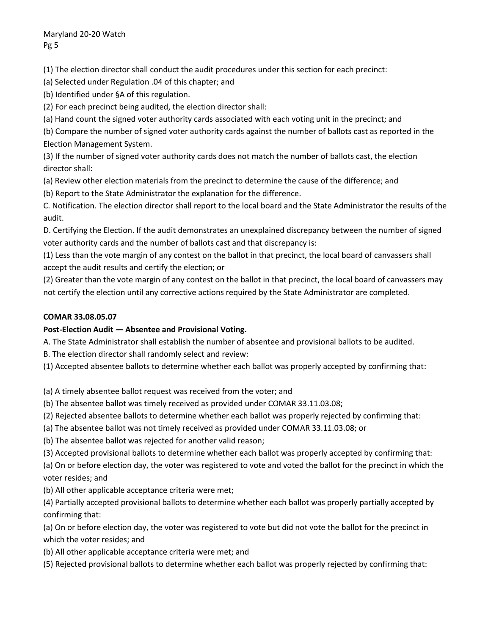(1) The election director shall conduct the audit procedures under this section for each precinct:

(a) Selected under Regulation .04 of this chapter; and

(b) Identified under §A of this regulation.

(2) For each precinct being audited, the election director shall:

(a) Hand count the signed voter authority cards associated with each voting unit in the precinct; and

(b) Compare the number of signed voter authority cards against the number of ballots cast as reported in the Election Management System.

(3) If the number of signed voter authority cards does not match the number of ballots cast, the election director shall:

(a) Review other election materials from the precinct to determine the cause of the difference; and

(b) Report to the State Administrator the explanation for the difference.

C. Notification. The election director shall report to the local board and the State Administrator the results of the audit.

D. Certifying the Election. If the audit demonstrates an unexplained discrepancy between the number of signed voter authority cards and the number of ballots cast and that discrepancy is:

(1) Less than the vote margin of any contest on the ballot in that precinct, the local board of canvassers shall accept the audit results and certify the election; or

(2) Greater than the vote margin of any contest on the ballot in that precinct, the local board of canvassers may not certify the election until any corrective actions required by the State Administrator are completed.

## **COMAR 33.08.05.07**

## **Post-Election Audit — Absentee and Provisional Voting.**

A. The State Administrator shall establish the number of absentee and provisional ballots to be audited.

B. The election director shall randomly select and review:

(1) Accepted absentee ballots to determine whether each ballot was properly accepted by confirming that:

- (a) A timely absentee ballot request was received from the voter; and
- (b) The absentee ballot was timely received as provided under COMAR 33.11.03.08;
- (2) Rejected absentee ballots to determine whether each ballot was properly rejected by confirming that:
- (a) The absentee ballot was not timely received as provided under COMAR 33.11.03.08; or
- (b) The absentee ballot was rejected for another valid reason;
- (3) Accepted provisional ballots to determine whether each ballot was properly accepted by confirming that:

(a) On or before election day, the voter was registered to vote and voted the ballot for the precinct in which the voter resides; and

(b) All other applicable acceptance criteria were met;

(4) Partially accepted provisional ballots to determine whether each ballot was properly partially accepted by confirming that:

(a) On or before election day, the voter was registered to vote but did not vote the ballot for the precinct in which the voter resides; and

- (b) All other applicable acceptance criteria were met; and
- (5) Rejected provisional ballots to determine whether each ballot was properly rejected by confirming that: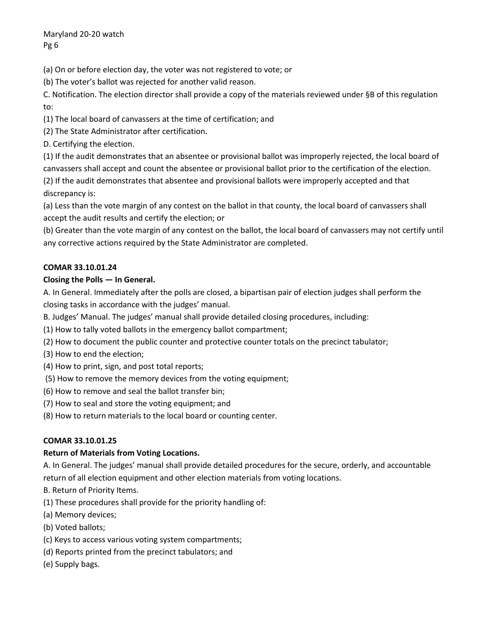(a) On or before election day, the voter was not registered to vote; or

(b) The voter's ballot was rejected for another valid reason.

C. Notification. The election director shall provide a copy of the materials reviewed under §B of this regulation to:

(1) The local board of canvassers at the time of certification; and

(2) The State Administrator after certification.

D. Certifying the election.

(1) If the audit demonstrates that an absentee or provisional ballot was improperly rejected, the local board of canvassers shall accept and count the absentee or provisional ballot prior to the certification of the election. (2) If the audit demonstrates that absentee and provisional ballots were improperly accepted and that discrepancy is:

(a) Less than the vote margin of any contest on the ballot in that county, the local board of canvassers shall accept the audit results and certify the election; or

(b) Greater than the vote margin of any contest on the ballot, the local board of canvassers may not certify until any corrective actions required by the State Administrator are completed.

## **COMAR 33.10.01.24**

## **Closing the Polls — In General.**

A. In General. Immediately after the polls are closed, a bipartisan pair of election judges shall perform the closing tasks in accordance with the judges' manual.

B. Judges' Manual. The judges' manual shall provide detailed closing procedures, including:

- (1) How to tally voted ballots in the emergency ballot compartment;
- (2) How to document the public counter and protective counter totals on the precinct tabulator;
- (3) How to end the election;
- (4) How to print, sign, and post total reports;
- (5) How to remove the memory devices from the voting equipment;
- (6) How to remove and seal the ballot transfer bin;
- (7) How to seal and store the voting equipment; and
- (8) How to return materials to the local board or counting center.

## **COMAR 33.10.01.25**

## **Return of Materials from Voting Locations.**

A. In General. The judges' manual shall provide detailed procedures for the secure, orderly, and accountable return of all election equipment and other election materials from voting locations.

- B. Return of Priority Items.
- (1) These procedures shall provide for the priority handling of:
- (a) Memory devices;
- (b) Voted ballots;
- (c) Keys to access various voting system compartments;
- (d) Reports printed from the precinct tabulators; and
- (e) Supply bags.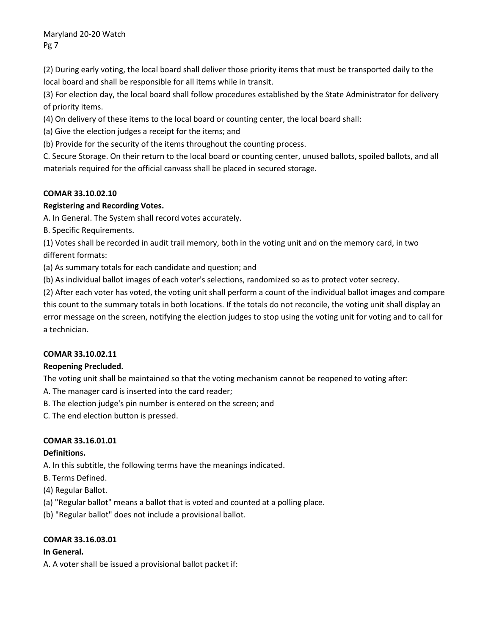(2) During early voting, the local board shall deliver those priority items that must be transported daily to the local board and shall be responsible for all items while in transit.

(3) For election day, the local board shall follow procedures established by the State Administrator for delivery of priority items.

(4) On delivery of these items to the local board or counting center, the local board shall:

(a) Give the election judges a receipt for the items; and

(b) Provide for the security of the items throughout the counting process.

C. Secure Storage. On their return to the local board or counting center, unused ballots, spoiled ballots, and all materials required for the official canvass shall be placed in secured storage.

## **COMAR 33.10.02.10**

## **Registering and Recording Votes.**

A. In General. The System shall record votes accurately.

B. Specific Requirements.

(1) Votes shall be recorded in audit trail memory, both in the voting unit and on the memory card, in two different formats:

(a) As summary totals for each candidate and question; and

(b) As individual ballot images of each voter's selections, randomized so as to protect voter secrecy.

(2) After each voter has voted, the voting unit shall perform a count of the individual ballot images and compare this count to the summary totals in both locations. If the totals do not reconcile, the voting unit shall display an error message on the screen, notifying the election judges to stop using the voting unit for voting and to call for a technician.

## **COMAR 33.10.02.11**

## **Reopening Precluded.**

The voting unit shall be maintained so that the voting mechanism cannot be reopened to voting after:

A. The manager card is inserted into the card reader;

B. The election judge's pin number is entered on the screen; and

C. The end election button is pressed.

## **COMAR 33.16.01.01**

## **Definitions.**

A. In this subtitle, the following terms have the meanings indicated.

- B. Terms Defined.
- (4) Regular Ballot.
- (a) "Regular ballot" means a ballot that is voted and counted at a polling place.
- (b) "Regular ballot" does not include a provisional ballot.

## **COMAR 33.16.03.01**

## **In General.**

A. A voter shall be issued a provisional ballot packet if: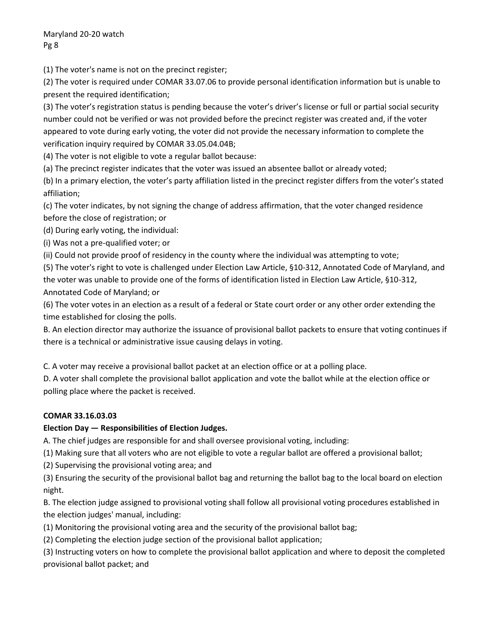(1) The voter's name is not on the precinct register;

(2) The voter is required under COMAR 33.07.06 to provide personal identification information but is unable to present the required identification;

(3) The voter's registration status is pending because the voter's driver's license or full or partial social security number could not be verified or was not provided before the precinct register was created and, if the voter appeared to vote during early voting, the voter did not provide the necessary information to complete the verification inquiry required by COMAR 33.05.04.04B;

(4) The voter is not eligible to vote a regular ballot because:

(a) The precinct register indicates that the voter was issued an absentee ballot or already voted;

(b) In a primary election, the voter's party affiliation listed in the precinct register differs from the voter's stated affiliation;

(c) The voter indicates, by not signing the change of address affirmation, that the voter changed residence before the close of registration; or

(d) During early voting, the individual:

(i) Was not a pre-qualified voter; or

(ii) Could not provide proof of residency in the county where the individual was attempting to vote;

(5) The voter's right to vote is challenged under Election Law Article, §10-312, Annotated Code of Maryland, and the voter was unable to provide one of the forms of identification listed in Election Law Article, §10-312, Annotated Code of Maryland; or

(6) The voter votes in an election as a result of a federal or State court order or any other order extending the time established for closing the polls.

B. An election director may authorize the issuance of provisional ballot packets to ensure that voting continues if there is a technical or administrative issue causing delays in voting.

C. A voter may receive a provisional ballot packet at an election office or at a polling place.

D. A voter shall complete the provisional ballot application and vote the ballot while at the election office or polling place where the packet is received.

## **COMAR 33.16.03.03**

## **Election Day — Responsibilities of Election Judges.**

A. The chief judges are responsible for and shall oversee provisional voting, including:

(1) Making sure that all voters who are not eligible to vote a regular ballot are offered a provisional ballot;

(2) Supervising the provisional voting area; and

(3) Ensuring the security of the provisional ballot bag and returning the ballot bag to the local board on election night.

B. The election judge assigned to provisional voting shall follow all provisional voting procedures established in the election judges' manual, including:

(1) Monitoring the provisional voting area and the security of the provisional ballot bag;

(2) Completing the election judge section of the provisional ballot application;

(3) Instructing voters on how to complete the provisional ballot application and where to deposit the completed provisional ballot packet; and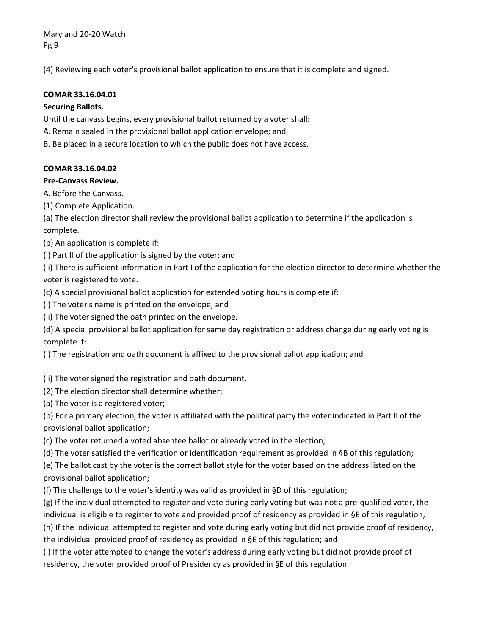(4) Reviewing each voter's provisional ballot application to ensure that it is complete and signed.

#### **COMAR 33.16.04.01**

#### **Securing Ballots.**

Until the canvass begins, every provisional ballot returned by a voter shall:

- A. Remain sealed in the provisional ballot application envelope; and
- B. Be placed in a secure location to which the public does not have access.

#### **COMAR 33.16.04.02**

#### **Pre-Canvass Review.**

A. Before the Canvass.

(1) Complete Application.

(a) The election director shall review the provisional ballot application to determine if the application is complete.

(b) An application is complete if:

(i) Part II of the application is signed by the voter; and

(ii) There is sufficient information in Part I of the application for the election director to determine whether the voter is registered to vote.

(c) A special provisional ballot application for extended voting hours is complete if:

(i) The voter's name is printed on the envelope; and

(ii) The voter signed the oath printed on the envelope.

(d) A special provisional ballot application for same day registration or address change during early voting is complete if:

(i) The registration and oath document is affixed to the provisional ballot application; and

(ii) The voter signed the registration and oath document.

(2) The election director shall determine whether:

(a) The voter is a registered voter;

(b) For a primary election, the voter is affiliated with the political party the voter indicated in Part II of the provisional ballot application;

(c) The voter returned a voted absentee ballot or already voted in the election;

(d) The voter satisfied the verification or identification requirement as provided in §B of this regulation;

(e) The ballot cast by the voter is the correct ballot style for the voter based on the address listed on the provisional ballot application;

(f) The challenge to the voter's identity was valid as provided in §D of this regulation;

(g) If the individual attempted to register and vote during early voting but was not a pre-qualified voter, the individual is eligible to register to vote and provided proof of residency as provided in §E of this regulation;

(h) If the individual attempted to register and vote during early voting but did not provide proof of residency, the individual provided proof of residency as provided in §E of this regulation; and

(i) If the voter attempted to change the voter's address during early voting but did not provide proof of residency, the voter provided proof of Presidency as provided in §E of this regulation.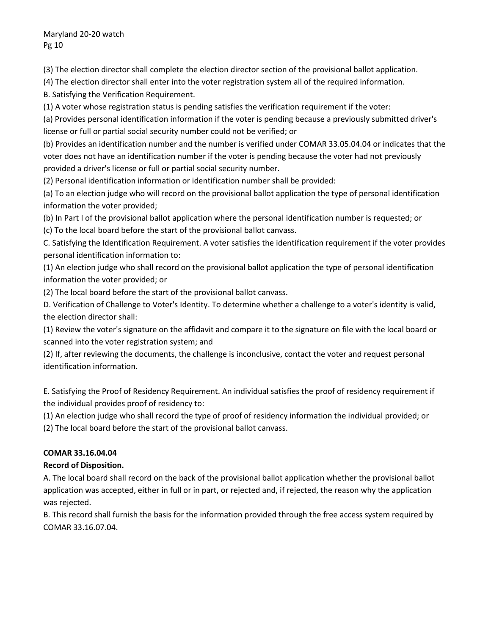(3) The election director shall complete the election director section of the provisional ballot application.

(4) The election director shall enter into the voter registration system all of the required information.

B. Satisfying the Verification Requirement.

(1) A voter whose registration status is pending satisfies the verification requirement if the voter:

(a) Provides personal identification information if the voter is pending because a previously submitted driver's license or full or partial social security number could not be verified; or

(b) Provides an identification number and the number is verified under COMAR 33.05.04.04 or indicates that the voter does not have an identification number if the voter is pending because the voter had not previously provided a driver's license or full or partial social security number.

(2) Personal identification information or identification number shall be provided:

(a) To an election judge who will record on the provisional ballot application the type of personal identification information the voter provided;

(b) In Part I of the provisional ballot application where the personal identification number is requested; or

(c) To the local board before the start of the provisional ballot canvass.

C. Satisfying the Identification Requirement. A voter satisfies the identification requirement if the voter provides personal identification information to:

(1) An election judge who shall record on the provisional ballot application the type of personal identification information the voter provided; or

(2) The local board before the start of the provisional ballot canvass.

D. Verification of Challenge to Voter's Identity. To determine whether a challenge to a voter's identity is valid, the election director shall:

(1) Review the voter's signature on the affidavit and compare it to the signature on file with the local board or scanned into the voter registration system; and

(2) If, after reviewing the documents, the challenge is inconclusive, contact the voter and request personal identification information.

E. Satisfying the Proof of Residency Requirement. An individual satisfies the proof of residency requirement if the individual provides proof of residency to:

(1) An election judge who shall record the type of proof of residency information the individual provided; or

(2) The local board before the start of the provisional ballot canvass.

## **COMAR 33.16.04.04**

## **Record of Disposition.**

A. The local board shall record on the back of the provisional ballot application whether the provisional ballot application was accepted, either in full or in part, or rejected and, if rejected, the reason why the application was rejected.

B. This record shall furnish the basis for the information provided through the free access system required by COMAR 33.16.07.04.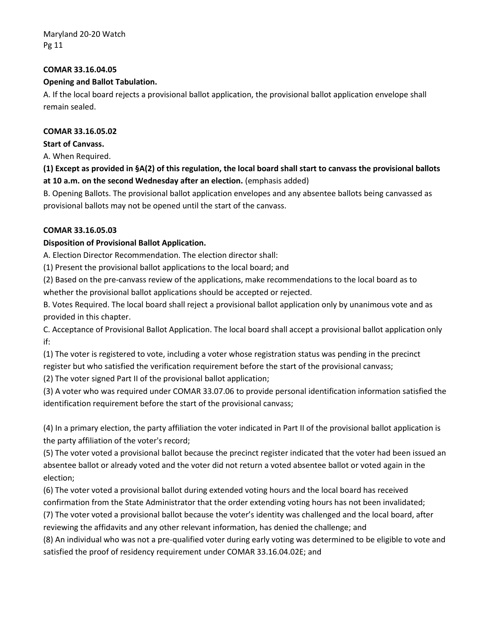#### **COMAR 33.16.04.05**

#### **Opening and Ballot Tabulation.**

A. If the local board rejects a provisional ballot application, the provisional ballot application envelope shall remain sealed.

#### **COMAR 33.16.05.02**

**Start of Canvass.** 

A. When Required.

**(1) Except as provided in §A(2) of this regulation, the local board shall start to canvass the provisional ballots at 10 a.m. on the second Wednesday after an election.** (emphasis added)

B. Opening Ballots. The provisional ballot application envelopes and any absentee ballots being canvassed as provisional ballots may not be opened until the start of the canvass.

#### **COMAR 33.16.05.03**

## **Disposition of Provisional Ballot Application.**

A. Election Director Recommendation. The election director shall:

(1) Present the provisional ballot applications to the local board; and

(2) Based on the pre-canvass review of the applications, make recommendations to the local board as to whether the provisional ballot applications should be accepted or rejected.

B. Votes Required. The local board shall reject a provisional ballot application only by unanimous vote and as provided in this chapter.

C. Acceptance of Provisional Ballot Application. The local board shall accept a provisional ballot application only if:

(1) The voter is registered to vote, including a voter whose registration status was pending in the precinct register but who satisfied the verification requirement before the start of the provisional canvass;

(2) The voter signed Part II of the provisional ballot application;

(3) A voter who was required under COMAR 33.07.06 to provide personal identification information satisfied the identification requirement before the start of the provisional canvass;

(4) In a primary election, the party affiliation the voter indicated in Part II of the provisional ballot application is the party affiliation of the voter's record;

(5) The voter voted a provisional ballot because the precinct register indicated that the voter had been issued an absentee ballot or already voted and the voter did not return a voted absentee ballot or voted again in the election;

(6) The voter voted a provisional ballot during extended voting hours and the local board has received

confirmation from the State Administrator that the order extending voting hours has not been invalidated;

(7) The voter voted a provisional ballot because the voter's identity was challenged and the local board, after reviewing the affidavits and any other relevant information, has denied the challenge; and

(8) An individual who was not a pre-qualified voter during early voting was determined to be eligible to vote and satisfied the proof of residency requirement under COMAR 33.16.04.02E; and